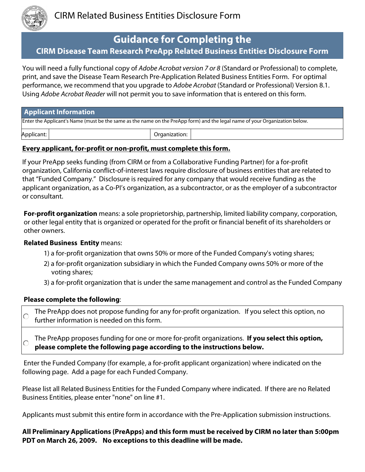

# **Guidance for Completing the**

# **CIRM Disease Team Research PreApp Related Business Entities Disclosure Form**

You will need a fully functional copy of *Adobe Acrobat version 7 or 8* (Standard or Professional) to complete, print, and save the Disease Team Research Pre-Application Related Business Entities Form. For optimal performance, we recommend that you upgrade to *Adobe Acrobat* (Standard or Professional) Version 8.1. Using *Adobe Acrobat Reader* will not permit you to save information that is entered on this form.

| <b>Applicant Information</b>                                                                                                |  |               |  |  |  |
|-----------------------------------------------------------------------------------------------------------------------------|--|---------------|--|--|--|
| Enter the Applicant's Name (must be the same as the name on the PreApp form) and the legal name of your Organization below. |  |               |  |  |  |
| Applicant:                                                                                                                  |  | Organization: |  |  |  |

### **Every applicant, for-profit or non-profit, must complete this form.**

If your PreApp seeks funding (from CIRM or from a Collaborative Funding Partner) for a for-profit organization, California conflict-of-interest laws require disclosure of business entities that are related to that "Funded Company." Disclosure is required for any company that would receive funding as the applicant organization, as a Co-PI's organization, as a subcontractor, or as the employer of a subcontractor or consultant.

**For-profit organization** means: a sole proprietorship, partnership, limited liability company, corporation, or other legal entity that is organized or operated for the profit or financial benefit of its shareholders or other owners.

#### **Related Business Entity** means:

- 1) a for-profit organization that owns 50% or more of the Funded Company's voting shares;
- 2) a for-profit organization subsidiary in which the Funded Company owns 50% or more of the voting shares;
- 3) a for-profit organization that is under the same management and control as the Funded Company

#### **Please complete the following**:

The PreApp does not propose funding for any for-profit organization. If you select this option, no ∩ further information is needed on this form.

The PreApp proposes funding for one or more for-profit organizations. **If you select this option,**   $\bigcirc$ **please complete the following page according to the instructions below.**

Enter the Funded Company (for example, a for-profit applicant organization) where indicated on the following page. Add a page for each Funded Company.

Please list all Related Business Entities for the Funded Company where indicated. If there are no Related Business Entities, please enter "none" on line #1.

Applicants must submit this entire form in accordance with the Pre-Application submission instructions.

**All Preliminary Applications (PreApps) and this form must be received by CIRM no later than 5:00pm PDT on March 26, 2009. No exceptions to this deadline will be made.**